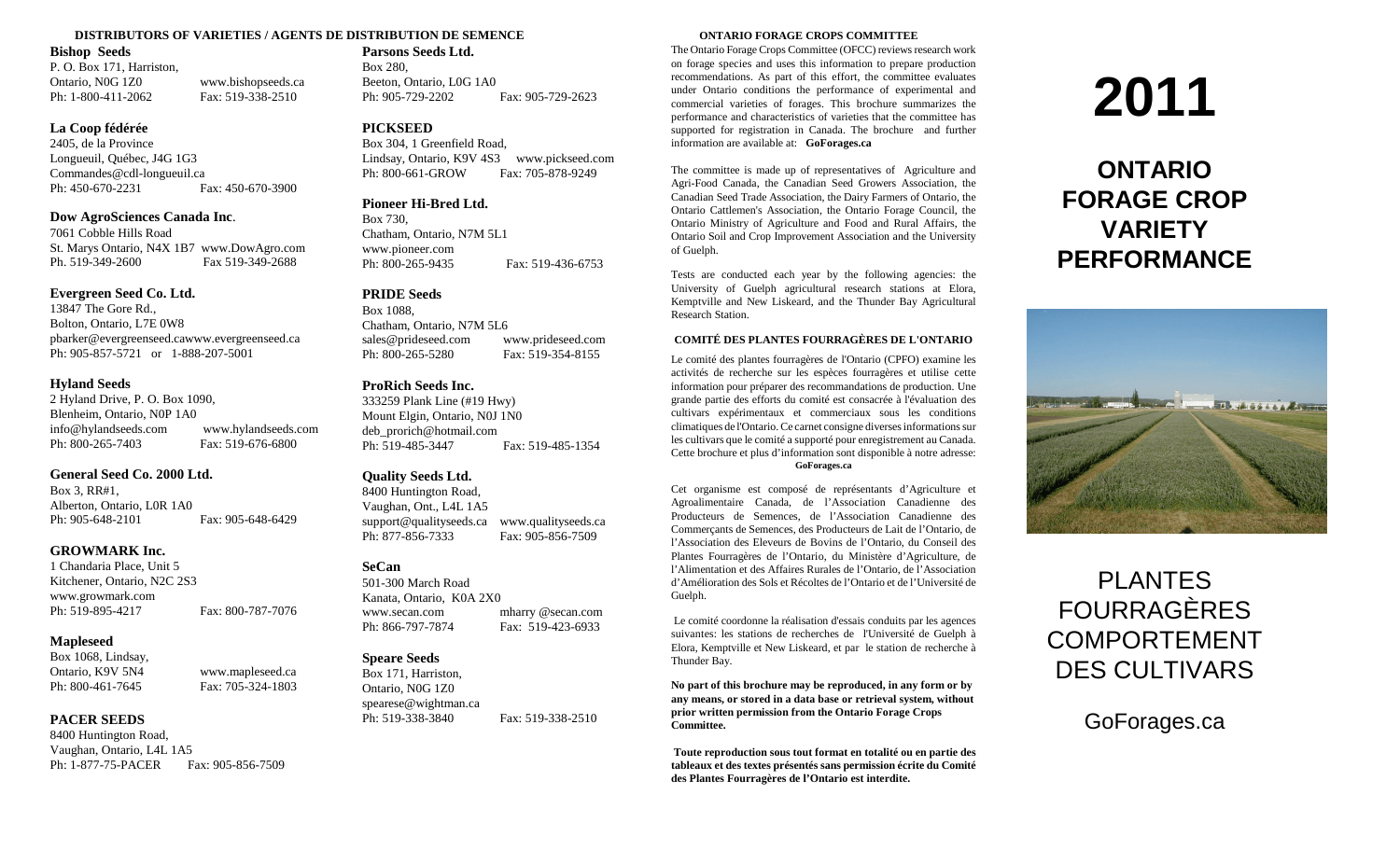### **DISTRIBUTORS OF VARIETIES / AGENTS DE DISTRIBUTION DE SEMENCE ONTARIO FORAGE CROPS COMMITTEE**

## **Bishop Seeds**

P. O. Box 171, Harriston, Ontario, N0G 1Z0 www.bishopseeds.ca Ph: 1-800-411-2062 Fax: 519-338-2510

## **La Coop fédérée**

2405, de la Province Longueuil, Québec, J4G 1G3 Commandes@cdl-longueuil.ca Ph: 450-670-2231 Fax: 450-670-3900

## **Dow AgroSciences Canada Inc**.

7061 Cobble Hills Road St. Marys Ontario, N4X 1B7 www.DowAgro.com Ph. 519-349-2600 Fax 519-349-2688

## **Evergreen Seed Co. Ltd.**

13847 The Gore Rd., Bolton, Ontario, L7E 0W8 pbarker@evergreenseed.cawww.evergreenseed.ca Ph: 905-857-5721 or 1-888-207-5001

## **Hyland Seeds**

2 Hyland Drive, P. O. Box 1090, Blenheim, Ontario, N0P 1A0 info@hylandseeds.com www.hylandseeds.com Ph: 800-265-7403 Fax: 519-676-6800

## **General Seed Co. 2000 Ltd.**

Box 3, RR#1, Alberton, Ontario, L0R 1A0 Ph: 905-648-2101 Fax: 905-648-6429

## **GROWMARK Inc.**

1 Chandaria Place, Unit 5 Kitchener, Ontario, N2C 2S3 www.growmark.com Ph: 519-895-4217 Fax: 800-787-7076

## **Mapleseed**

Box 1068, Lindsay, Ontario, K9V 5N4 www.mapleseed.ca Ph: 800-461-7645 Fax: 705-324-1803

## **PACER SEEDS**

8400 Huntington Road, Vaughan, Ontario, L4L 1A5 Ph: 1-877-75-PACER Fax: 905-856-7509

## **Parsons Seeds Ltd.**

Box 280, Beeton, Ontario, L0G 1A0 Ph: 905-729-2202 Fax: 905-729-2623

## **PICKSEED**

Box 304, 1 Greenfield Road, Lindsay, Ontario, K9V 4S3 www.pickseed.com Ph: 800-661-GROW Fax: 705-878-9249

## **Pioneer Hi-Bred Ltd.**

Box 730, Chatham, Ontario, N7M 5L1 www.pioneer.com Ph: 800-265-9435 Fax: 519-436-6753

## **PRIDE Seeds**

Box 1088, Chatham, Ontario, N7M 5L6 sales@prideseed.com www.prideseed.com Ph: 800-265-5280 Fax: 519-354-8155

## **ProRich Seeds Inc.**

333259 Plank Line (#19 Hwy) Mount Elgin, Ontario, N0J 1N0 deb\_prorich@hotmail.com Ph: 519-485-3447 Fax: 519-485-1354

## **Quality Seeds Ltd.**

8400 Huntington Road, Vaughan, Ont., L4L 1A5 support@qualityseeds.ca www.qualityseeds.ca Ph: 877-856-7333 Fax: 905-856-7509

## **SeCan**

501-300 March Road Kanata, Ontario, K0A 2X0 www.secan.com mharry @secan.com Ph: 866-797-7874 Fax: 519-423-6933

## **Speare Seeds**

Box 171, Harriston, Ontario, N0G 1Z0 spearese@wightman.ca Ph: 519-338-3840 Fax: 519-338-2510

The Ontario Forage Crops Committee (OFCC) reviews research work on forage species and uses this information to prepare production recommendations. As part of this effort, the committee evaluates under Ontario conditions the performance of experimental and commercial varieties of forages. This brochure summarizes the performance and characteristics of varieties that the committee has supported for registration in Canada. The brochure and further information are available at: **GoForages.ca**

The committee is made up of representatives of Agriculture and Agri-Food Canada, the Canadian Seed Growers Association, the Canadian Seed Trade Association, the Dairy Farmers of Ontario, the Ontario Cattlemen's Association, the Ontario Forage Council, the Ontario Ministry of Agriculture and Food and Rural Affairs, the Ontario Soil and Crop Improvement Association and the University of Guelph.

Tests are conducted each year by the following agencies: the University of Guelph agricultural research stations at Elora, Kemptville and New Liskeard, and the Thunder Bay Agricultural Research Station.

## **COMITÉ DES PLANTES FOURRAGÈRES DE L'ONTARIO**

Le comité des plantes fourragères de l'Ontario (CPFO) examine les activités de recherche sur les espèces fourragères et utilise cette information pour préparer des recommandations de production. Une grande partie des efforts du comité est consacrée à l'évaluation des cultivars expérimentaux et commerciaux sous les conditions climatiques de l'Ontario. Ce carnet consigne diverses informations sur les cultivars que le comité a supporté pour enregistrement au Canada. Cette brochure et plus d'information sont disponible à notre adresse:

## **GoForages.ca**

Cet organisme est composé de représentants d'Agriculture et Agroalimentaire Canada, de l'Association Canadienne des Producteurs de Semences, de l'Association Canadienne des Commerçants de Semences, des Producteurs de Lait de l'Ontario, de l'Association des Eleveurs de Bovins de l'Ontario, du Conseil des Plantes Fourragères de l'Ontario, du Ministère d'Agriculture, de l'Alimentation et des Affaires Rurales de l'Ontario, de l'Association d'Amélioration des Sols et Récoltes de l'Ontario et de l'Université de Guelph.

Le comité coordonne la réalisation d'essais conduits par les agences suivantes: les stations de recherches de l'Université de Guelph à Elora, Kemptville et New Liskeard, et par le station de recherche à Thunder Bay.

**No part of this brochure may be reproduced, in any form or by any means, or stored in a data base or retrieval system, without prior written permission from the Ontario Forage Crops Committee.**

**Toute reproduction sous tout format en totalité ou en partie des tableaux et des textes présentés sans permission écrite du Comité des Plantes Fourragères de l'Ontario est interdite.**

# **2011**

## **ONTARIO FORAGE CROP VARIETY PERFORMANCE**



## PLANTES FOURRAGÈRES COMPORTEMENT DES CULTIVARS

GoForages.ca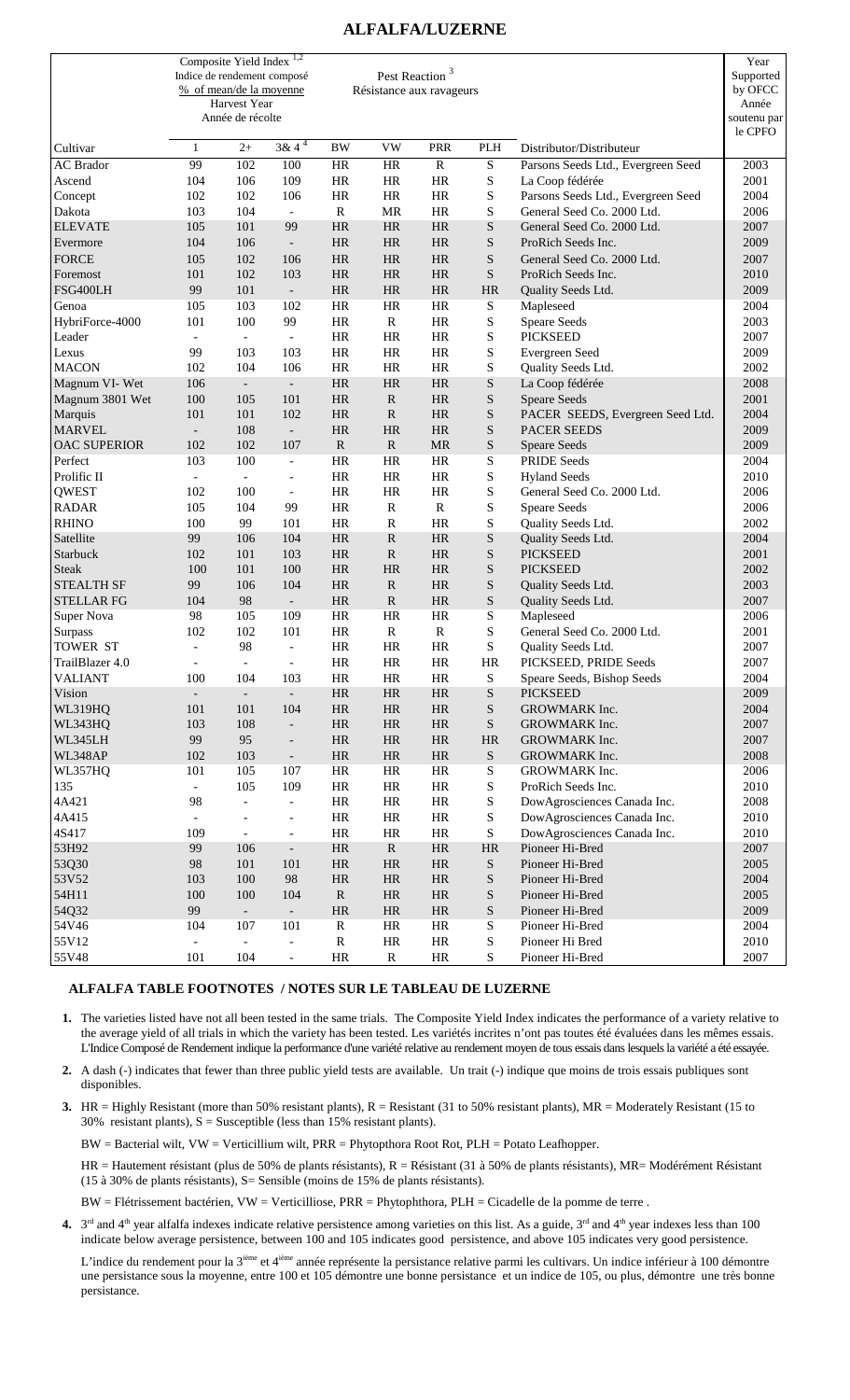## **ALFALFA/LUZERNE**

|                                   | Indice de rendement composé | Composite Yield Index<br>% of mean/de la moyenne<br>Harvest Year<br>Année de récolte | 1,2                      |                        | Pest Reaction <sup>3</sup><br>Résistance aux ravageurs |                        |                |                                    | Year<br>Supported<br>by OFCC<br>Année<br>soutenu par<br>le CPFO |
|-----------------------------------|-----------------------------|--------------------------------------------------------------------------------------|--------------------------|------------------------|--------------------------------------------------------|------------------------|----------------|------------------------------------|-----------------------------------------------------------------|
| Cultivar                          | 1                           | $2+$                                                                                 | $3 & 4^4$                | <b>BW</b>              | <b>VW</b>                                              | <b>PRR</b>             | PLH            | Distributor/Distributeur           |                                                                 |
| <b>AC</b> Brador                  | 99                          | 102                                                                                  | 100                      | <b>HR</b>              | <b>HR</b>                                              | $\overline{R}$         | $\overline{S}$ | Parsons Seeds Ltd., Evergreen Seed | 2003                                                            |
| Ascend                            | 104                         | 106                                                                                  | 109                      | <b>HR</b>              | <b>HR</b>                                              | HR                     | S              | La Coop fédérée                    | 2001                                                            |
| Concept                           | 102                         | 102                                                                                  | 106                      | <b>HR</b>              | <b>HR</b>                                              | HR                     | ${\bf S}$      | Parsons Seeds Ltd., Evergreen Seed | 2004                                                            |
| Dakota                            | 103                         | 104                                                                                  | $\blacksquare$           | $\mathbf R$            | MR                                                     | <b>HR</b>              | S              | General Seed Co. 2000 Ltd.         | 2006                                                            |
| <b>ELEVATE</b>                    | 105                         | 101                                                                                  | 99                       | <b>HR</b>              | <b>HR</b>                                              | <b>HR</b>              | S              | General Seed Co. 2000 Ltd.         | 2007                                                            |
| Evermore                          | 104                         | 106                                                                                  | $\blacksquare$           | <b>HR</b>              | HR                                                     | <b>HR</b>              | S              | ProRich Seeds Inc.                 | 2009                                                            |
| <b>FORCE</b>                      | 105                         | 102                                                                                  | 106                      | <b>HR</b>              | HR                                                     | <b>HR</b>              | S              | General Seed Co. 2000 Ltd.         | 2007                                                            |
| Foremost                          | 101                         | 102                                                                                  | 103                      | <b>HR</b>              | HR                                                     | <b>HR</b>              | S              | ProRich Seeds Inc.                 | 2010                                                            |
| FSG400LH                          | 99                          | 101                                                                                  | $\overline{\phantom{a}}$ | <b>HR</b>              | HR                                                     | <b>HR</b>              | <b>HR</b>      | Quality Seeds Ltd.                 | 2009                                                            |
| Genoa                             | 105                         | 103                                                                                  | 102                      | <b>HR</b>              | <b>HR</b>                                              | <b>HR</b>              | S              | Mapleseed                          | 2004                                                            |
| HybriForce-4000                   | 101                         | 100                                                                                  | 99                       | <b>HR</b>              | ${\bf R}$                                              | <b>HR</b>              | S              | <b>Speare Seeds</b>                | 2003                                                            |
| Leader                            | $\overline{\phantom{a}}$    | $\blacksquare$                                                                       | $\overline{\phantom{a}}$ | <b>HR</b>              | <b>HR</b>                                              | <b>HR</b>              | S              | <b>PICKSEED</b>                    | 2007                                                            |
| Lexus                             | 99                          | 103                                                                                  | 103                      | HR                     | HR                                                     | <b>HR</b>              | ${\bf S}$      | Evergreen Seed                     | 2009                                                            |
| <b>MACON</b>                      | 102                         | 104                                                                                  | 106                      | <b>HR</b>              | <b>HR</b>                                              | HR                     | S              | Quality Seeds Ltd.                 | 2002                                                            |
| Magnum VI-Wet                     | 106                         | $\overline{\phantom{a}}$                                                             | $\overline{\phantom{a}}$ | <b>HR</b>              | <b>HR</b>                                              | <b>HR</b>              | ${\bf S}$      | La Coop fédérée                    | 2008                                                            |
| Magnum 3801 Wet                   | 100                         | 105                                                                                  | 101                      | <b>HR</b>              | $\mathbf R$                                            | <b>HR</b>              | ${\bf S}$      | <b>Speare Seeds</b>                | 2001                                                            |
| Marquis                           | 101                         | 101                                                                                  | 102                      | <b>HR</b>              | $\mathbb{R}$                                           | <b>HR</b>              | S              | PACER SEEDS, Evergreen Seed Ltd.   | 2004                                                            |
| <b>MARVEL</b>                     | $\overline{a}$              | 108                                                                                  | $\blacksquare$           | <b>HR</b>              | HR                                                     | <b>HR</b>              | ${\bf S}$      | <b>PACER SEEDS</b>                 | 2009                                                            |
| <b>OAC SUPERIOR</b>               | 102                         | 102                                                                                  | 107                      | ${\bf R}$              | ${\bf R}$                                              | <b>MR</b>              | ${\bf S}$      | <b>Speare Seeds</b>                | 2009                                                            |
| Perfect                           | 103                         | 100                                                                                  | $\overline{\phantom{a}}$ | <b>HR</b>              | <b>HR</b>                                              | <b>HR</b>              | S              | <b>PRIDE Seeds</b>                 | 2004                                                            |
| Prolific II                       | $\blacksquare$              | $\bar{\phantom{a}}$                                                                  | $\overline{\phantom{a}}$ | <b>HR</b>              | <b>HR</b>                                              | HR                     | S              | <b>Hyland Seeds</b>                | 2010                                                            |
| QWEST                             | 102                         | 100                                                                                  | $\overline{\phantom{a}}$ | <b>HR</b>              | <b>HR</b>                                              | <b>HR</b>              | ${\bf S}$      | General Seed Co. 2000 Ltd.         | 2006                                                            |
| <b>RADAR</b>                      | 105                         | 104                                                                                  | 99                       | <b>HR</b>              | ${\bf R}$                                              | $\mathbf R$            | S              | Speare Seeds                       | 2006                                                            |
| <b>RHINO</b>                      | 100                         | 99                                                                                   | 101                      | <b>HR</b>              | $\mathbb{R}$                                           | <b>HR</b>              | S              | Quality Seeds Ltd.                 | 2002                                                            |
| Satellite                         | 99                          | 106                                                                                  | 104                      | <b>HR</b>              | ${\bf R}$                                              | <b>HR</b>              | ${\bf S}$      | Quality Seeds Ltd.                 | 2004                                                            |
| Starbuck                          | 102                         | 101                                                                                  | 103                      | <b>HR</b>              | ${\bf R}$                                              | <b>HR</b>              | S              | <b>PICKSEED</b>                    | 2001                                                            |
| <b>Steak</b><br><b>STEALTH SF</b> | 100<br>99                   | 101<br>106                                                                           | 100<br>104               | <b>HR</b><br><b>HR</b> | <b>HR</b><br>$\mathbb{R}$                              | <b>HR</b><br><b>HR</b> | S<br>S         | <b>PICKSEED</b>                    | 2002<br>2003                                                    |
| <b>STELLAR FG</b>                 | 104                         | 98                                                                                   | $\overline{\phantom{a}}$ | <b>HR</b>              | ${\bf R}$                                              | <b>HR</b>              | ${\bf S}$      | Quality Seeds Ltd.                 | 2007                                                            |
| Super Nova                        | 98                          | 105                                                                                  | 109                      | <b>HR</b>              | <b>HR</b>                                              | <b>HR</b>              | S              | Quality Seeds Ltd.<br>Mapleseed    | 2006                                                            |
| Surpass                           | 102                         | 102                                                                                  | 101                      | <b>HR</b>              | $\mathbf R$                                            | $\mathbf R$            | S              | General Seed Co. 2000 Ltd.         | 2001                                                            |
| <b>TOWER ST</b>                   | $\overline{\phantom{a}}$    | 98                                                                                   | $\overline{\phantom{a}}$ | <b>HR</b>              | <b>HR</b>                                              | <b>HR</b>              | ${\bf S}$      | Quality Seeds Ltd.                 | 2007                                                            |
| TrailBlazer 4.0                   | $\overline{\phantom{a}}$    | $\overline{\phantom{a}}$                                                             | $\overline{\phantom{a}}$ | <b>HR</b>              | <b>HR</b>                                              | HR                     | <b>HR</b>      | PICKSEED, PRIDE Seeds              | 2007                                                            |
| <b>VALIANT</b>                    | 100                         | 104                                                                                  | 103                      | $\rm{HR}$              | $\rm{HR}$                                              | $\rm{HR}$              | ${\bf S}$      | Speare Seeds, Bishop Seeds         | 2004                                                            |
| Vision                            | $\overline{\phantom{a}}$    | $\blacksquare$                                                                       | $\overline{\phantom{a}}$ | $\rm{HR}$              | $\rm{HR}$                                              | $\rm{HR}$              | ${\bf S}$      | <b>PICKSEED</b>                    | 2009                                                            |
| WL319HQ                           | 101                         | 101                                                                                  | 104                      | $\rm{HR}$              | HR                                                     | $\rm{HR}$              | ${\bf S}$      | GROWMARK Inc.                      | 2004                                                            |
| WL343HQ                           | 103                         | 108                                                                                  | $\overline{\phantom{a}}$ | HR                     | $\rm{HR}$                                              | $\rm{HR}$              | ${\bf S}$      | GROWMARK Inc.                      | 2007                                                            |
| WL345LH                           | 99                          | 95                                                                                   | $\overline{\phantom{a}}$ | HR                     | $\rm{HR}$                                              | $\rm{HR}$              | $\rm{HR}$      | GROWMARK Inc.                      | 2007                                                            |
| WL348AP                           | 102                         | 103                                                                                  | $\blacksquare$           | $\rm{HR}$              | HR                                                     | $\rm{HR}$              | ${\bf S}$      | GROWMARK Inc.                      | 2008                                                            |
| WL357HQ                           | 101                         | 105                                                                                  | 107                      | $\rm{HR}$              | HR                                                     | $\rm{HR}$              | ${\bf S}$      | GROWMARK Inc.                      | 2006                                                            |
| 135                               | $\blacksquare$              | 105                                                                                  | 109                      | HR                     | HR                                                     | HR                     | $\mathbf S$    | ProRich Seeds Inc.                 | 2010                                                            |
| 4A421                             | 98                          | $\overline{\phantom{a}}$                                                             | $\overline{\phantom{a}}$ | HR                     | HR                                                     | HR                     | $\mathbf S$    | DowAgrosciences Canada Inc.        | 2008                                                            |
| 4A415                             | $\blacksquare$              |                                                                                      | $\overline{\phantom{a}}$ | $\rm{HR}$              | HR                                                     | $\rm{HR}$              | ${\bf S}$      | DowAgrosciences Canada Inc.        | 2010                                                            |
| 4S417                             | 109                         | $\overline{\phantom{a}}$                                                             | $\blacksquare$           | HR                     | HR                                                     | HR                     | ${\bf S}$      | DowAgrosciences Canada Inc.        | 2010                                                            |
| 53H92                             | 99                          | 106                                                                                  | $\overline{\phantom{a}}$ | HR                     | ${\bf R}$                                              | $\rm{HR}$              | $\rm{HR}$      | Pioneer Hi-Bred                    | 2007                                                            |
| 53Q30                             | 98                          | 101                                                                                  | 101                      | $\rm{HR}$              | HR                                                     | $\rm{HR}$              | ${\bf S}$      | Pioneer Hi-Bred                    | 2005                                                            |
| 53V52                             | 103                         | 100                                                                                  | 98                       | $\rm{HR}$              | HR                                                     | $\rm{HR}$              | ${\bf S}$      | Pioneer Hi-Bred                    | 2004                                                            |
| 54H11                             | 100                         | 100                                                                                  | 104                      | ${\bf R}$              | HR                                                     | $\rm{HR}$              | ${\bf S}$      | Pioneer Hi-Bred                    | 2005                                                            |
| 54Q32                             | 99                          | $\overline{\phantom{a}}$                                                             | $\overline{\phantom{a}}$ | $\rm{HR}$              | HR                                                     | $\rm{HR}$              | ${\bf S}$      | Pioneer Hi-Bred                    | 2009                                                            |
| 54V46                             | 104                         | 107                                                                                  | 101                      | $\mathbb{R}$           | HR                                                     | HR                     | ${\bf S}$      | Pioneer Hi-Bred                    | 2004                                                            |
| 55V12                             | $\overline{\phantom{a}}$    | $\Box$                                                                               | $\overline{\phantom{a}}$ | ${\bf R}$              | $\rm{HR}$                                              | $\rm{HR}$              | ${\bf S}$      | Pioneer Hi Bred                    | 2010                                                            |
| 55V48                             | 101                         | 104                                                                                  | $\overline{\phantom{a}}$ | HR                     | $\mathbf R$                                            | HR                     | ${\bf S}$      | Pioneer Hi-Bred                    | 2007                                                            |

## **ALFALFA TABLE FOOTNOTES / NOTES SUR LE TABLEAU DE LUZERNE**

- **1.** The varieties listed have not all been tested in the same trials. The Composite Yield Index indicates the performance of a variety relative to the average yield of all trials in which the variety has been tested. Les variétés incrites n'ont pas toutes été évaluées dans les mêmes essais. L'Indice Composé de Rendement indique la performance d'une variété relative au rendement moyen de tous essais dans lesquels la variété a été essayée.
- 2. A dash (-) indicates that fewer than three public yield tests are available. Un trait (-) indique que moins de trois essais publiques sont disponibles.
- **3.** HR = Highly Resistant (more than 50% resistant plants),  $R =$  Resistant (31 to 50% resistant plants),  $MR =$  Moderately Resistant (15 to 30% resistant plants),  $S =$  Susceptible (less than 15% resistant plants).

BW = Bacterial wilt, VW = Verticillium wilt, PRR = Phytopthora Root Rot, PLH = Potato Leafhopper.

HR = Hautement résistant (plus de 50% de plants résistants), R = Résistant (31 à 50% de plants résistants), MR= Modérément Résistant (15 à 30% de plants résistants), S= Sensible (moins de 15% de plants résistants).

BW = Flétrissement bactérien, VW = Verticilliose, PRR = Phytophthora, PLH = Cicadelle de la pomme de terre .

**4.**  $3<sup>rd</sup>$  and 4<sup>th</sup> year alfalfa indexes indicate relative persistence among varieties on this list. As a guide,  $3<sup>rd</sup>$  and 4<sup>th</sup> year indexes less than 100 indicate below average persistence, between 100 and 105 indicates good persistence, and above 105 indicates very good persistence.

L'indice du rendement pour la 3<sup>ième</sup> et 4<sup>ième</sup> année représente la persistance relative parmi les cultivars. Un indice inférieur à 100 démontre une persistance sous la moyenne, entre 100 et 105 démontre une bonne persistance et un indice de 105, ou plus, démontre une très bonne persistance.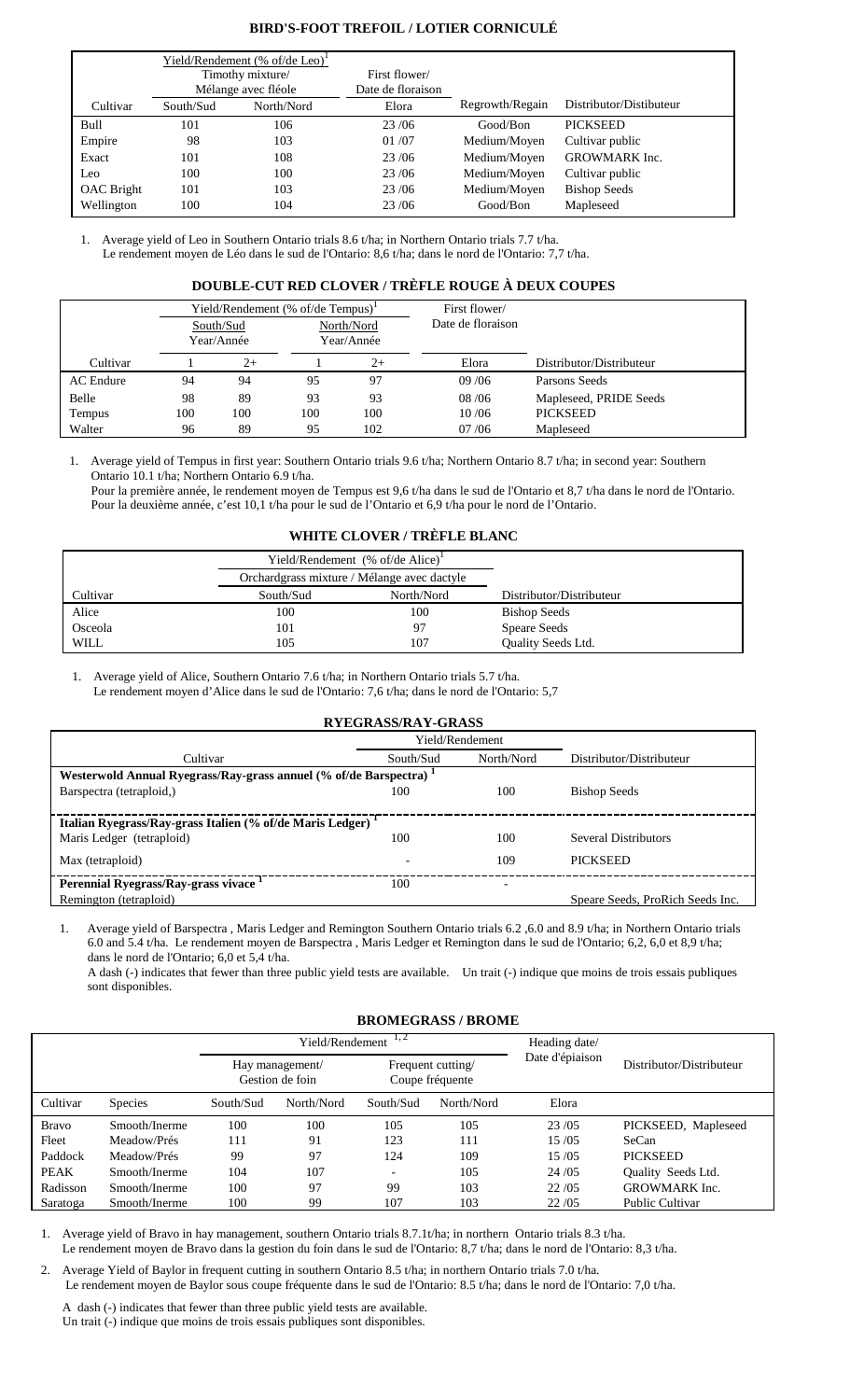## **BIRD'S-FOOT TREFOIL / LOTIER CORNICULÉ**

|                   |           | Yield/Rendement $% of/de Leo$ <sup>1</sup> |                   |                 |                         |
|-------------------|-----------|--------------------------------------------|-------------------|-----------------|-------------------------|
|                   |           | Timothy mixture/                           | First flower/     |                 |                         |
|                   |           | Mélange avec fléole                        | Date de floraison |                 |                         |
| Cultivar          | South/Sud | North/Nord                                 | Elora             | Regrowth/Regain | Distributor/Distibuteur |
| Bull              | 101       | 106                                        | 23/06             | Good/Bon        | <b>PICKSEED</b>         |
| Empire            | 98        | 103                                        | 01/07             | Medium/Moyen    | Cultivar public         |
| Exact             | 101       | 108                                        | 23/06             | Medium/Moyen    | <b>GROWMARK</b> Inc.    |
| Leo               | 100       | 100                                        | 23/06             | Medium/Moyen    | Cultivar public         |
| <b>OAC</b> Bright | 101       | 103                                        | 23/06             | Medium/Moyen    | <b>Bishop Seeds</b>     |
| Wellington        | 100       | 104                                        | 23/06             | Good/Bon        | Mapleseed               |

1. Average yield of Leo in Southern Ontario trials 8.6 t/ha; in Northern Ontario trials 7.7 t/ha. Le rendement moyen de Léo dans le sud de l'Ontario: 8,6 t/ha; dans le nord de l'Ontario: 7,7 t/ha.

## **DOUBLE-CUT RED CLOVER / TRÈFLE ROUGE À DEUX COUPES**

|                  | Yield/Rendement $(\%$ of/de Tempus) <sup>1</sup><br>North/Nord<br>South/Sud<br>Year/Année<br>Year/Année |      |     |      | First flower/<br>Date de floraison |                          |
|------------------|---------------------------------------------------------------------------------------------------------|------|-----|------|------------------------------------|--------------------------|
| Cultivar         |                                                                                                         | $2+$ |     | $2+$ | Elora                              | Distributor/Distributeur |
| <b>AC</b> Endure | 94                                                                                                      | 94   | 95  | 97   | 09/06                              | Parsons Seeds            |
| Belle            | 98                                                                                                      | 89   | 93  | 93   | 08/06                              | Mapleseed, PRIDE Seeds   |
| Tempus           | 100                                                                                                     | 100  | 100 | 100  | 10/06                              | <b>PICKSEED</b>          |
| Walter           | 96                                                                                                      | 89   | 95  | 102  | 07/06                              | Mapleseed                |

Average yield of Tempus in first year: Southern Ontario trials 9.6 t/ha; Northern Ontario 8.7 t/ha; in second year: Southern Ontario 10.1 t/ha; Northern Ontario 6.9 t/ha.

Pour la première année, le rendement moyen de Tempus est 9,6 t/ha dans le sud de l'Ontario et 8,7 t/ha dans le nord de l'Ontario. Pour la deuxième année, c'est 10,1 t/ha pour le sud de l'Ontario et 6,9 t/ha pour le nord de l'Ontario.

## **WHITE CLOVER / TRÈFLE BLANC**

|          |           | Yield/Rendement (% of/de Alice) <sup>1</sup> |                           |
|----------|-----------|----------------------------------------------|---------------------------|
|          |           | Orchardgrass mixture / Mélange avec dactyle  |                           |
| Cultivar | South/Sud | North/Nord                                   | Distributor/Distributeur  |
| Alice    | 100       | 100                                          | <b>Bishop Seeds</b>       |
| Osceola  | 101       | 97                                           | <b>Speare Seeds</b>       |
| WILL     | 105       | 107                                          | <b>Ouality Seeds Ltd.</b> |

1. Average yield of Alice, Southern Ontario 7.6 t/ha; in Northern Ontario trials 5.7 t/ha. Le rendement moyen d'Alice dans le sud de l'Ontario: 7,6 t/ha; dans le nord de l'Ontario: 5,7

**RYEGRASS/RAY-GRASS** Yield/Rendement Cultivar South/Sud North/Nord Distributor/Distributeur **Westerwold Annual Ryegrass/Ray-grass annuel (% of/de Barspectra) <sup>1</sup>** Barspectra (tetraploid,) 100 100 Bishop Seeds **Italian Ryegrass/Ray-grass Italien (% of/de Maris Ledger) <sup>1</sup>** Maris Ledger (tetraploid) 100 100 Several Distributors Max (tetraploid) and the 109 PICKSEED of the 109 PICKSEED **Perennial Ryegrass/Ray-grass vivace <sup>1</sup>**  $100$ Remington (tetraploid) Speare Seeds, ProRich Seeds Inc.

1. Average yield of Barspectra , Maris Ledger and Remington Southern Ontario trials 6.2 ,6.0 and 8.9 t/ha; in Northern Ontario trials 6.0 and 5.4 t/ha. Le rendement moyen de Barspectra , Maris Ledger et Remington dans le sud de l'Ontario; 6,2, 6,0 et 8,9 t/ha; dans le nord de l'Ontario; 6,0 et 5,4 t/ha.

A dash (-) indicates that fewer than three public yield tests are available. Un trait (-) indique que moins de trois essais publiques sont disponibles.

## **BROMEGRASS / BROME**

|              |                |           | Yield/Rendement                    | 1, 2                                 | Heading date/ |                 |                          |
|--------------|----------------|-----------|------------------------------------|--------------------------------------|---------------|-----------------|--------------------------|
|              |                |           | Hay management/<br>Gestion de foin | Frequent cutting/<br>Coupe fréquente |               | Date d'épiaison | Distributor/Distributeur |
| Cultivar     | <b>Species</b> | South/Sud | North/Nord                         | South/Sud                            | North/Nord    | Elora           |                          |
| <b>Bravo</b> | Smooth/Inerme  | 100       | 100                                | 105                                  | 105           | 23/05           | PICKSEED, Mapleseed      |
| Fleet        | Meadow/Prés    | 111       | 91                                 | 123                                  | 111           | 15/05           | SeCan                    |
| Paddock      | Meadow/Prés    | 99        | 97                                 | 124                                  | 109           | 15/05           | <b>PICKSEED</b>          |
| <b>PEAK</b>  | Smooth/Inerme  | 104       | 107                                | $\overline{\phantom{a}}$             | 105           | 24/05           | Quality Seeds Ltd.       |
| Radisson     | Smooth/Inerme  | 100       | 97                                 | 99                                   | 103           | 22/05           | <b>GROWMARK</b> Inc.     |
| Saratoga     | Smooth/Inerme  | 100       | 99                                 | 107                                  | 103           | 22/05           | <b>Public Cultivar</b>   |

1. Average yield of Bravo in hay management, southern Ontario trials 8.7.1t/ha; in northern Ontario trials 8.3 t/ha. Le rendement moyen de Bravo dans la gestion du foin dans le sud de l'Ontario: 8,7 t/ha; dans le nord de l'Ontario: 8,3 t/ha.

2. Average Yield of Baylor in frequent cutting in southern Ontario 8.5 t/ha; in northern Ontario trials 7.0 t/ha. Le rendement moyen de Baylor sous coupe fréquente dans le sud de l'Ontario: 8.5 t/ha; dans le nord de l'Ontario: 7,0 t/ha.

A dash (-) indicates that fewer than three public yield tests are available. Un trait (-) indique que moins de trois essais publiques sont disponibles.